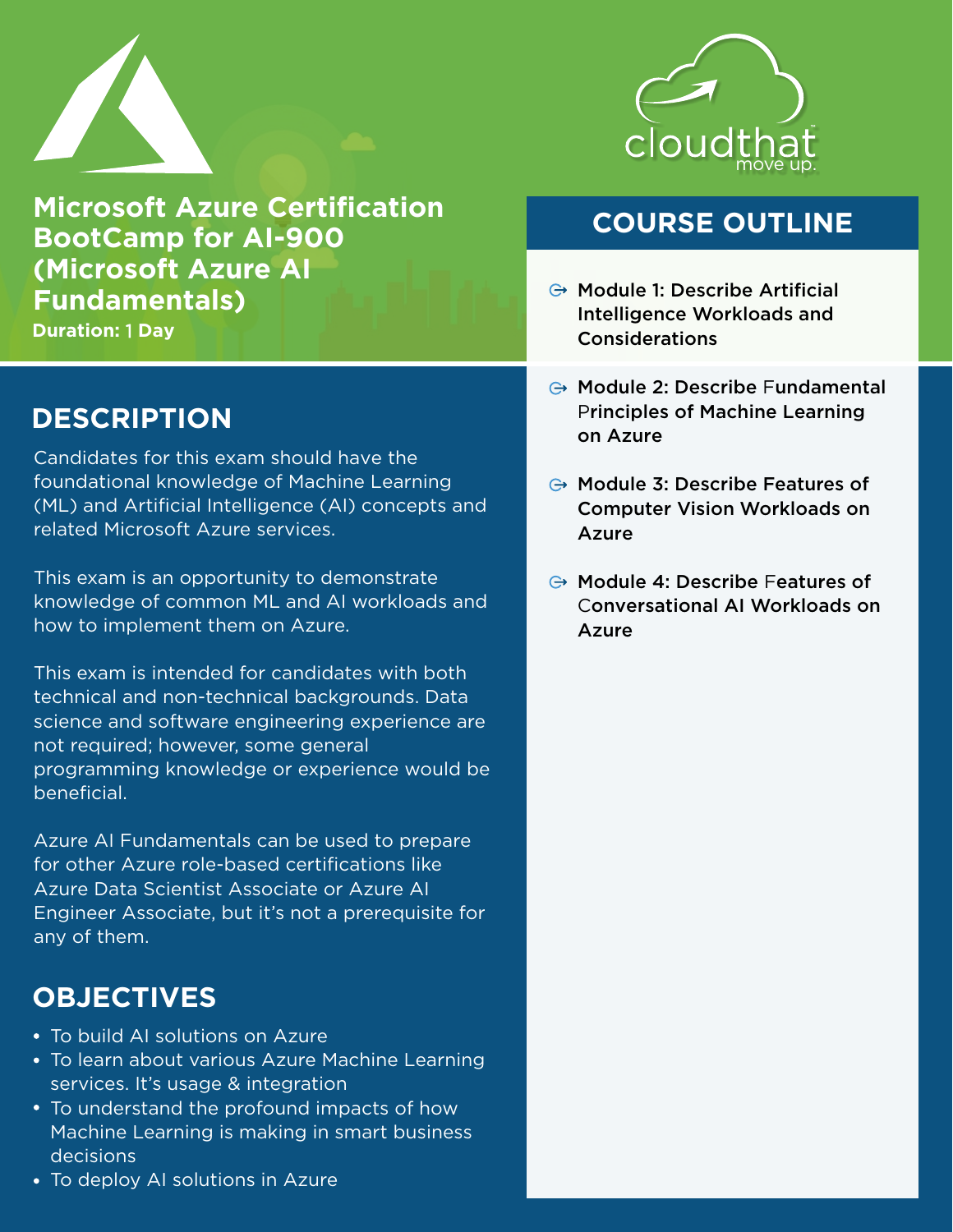

**Microsoft Azure Certification BootCamp for AI-900 (Microsoft Azure AI Fundamentals)**

**Duration:** 1 **Day**

# **DESCRIPTION**

Candidates for this exam should have the foundational knowledge of Machine Learning (ML) and Artificial Intelligence (AI) concepts and related Microsoft Azure services.

This exam is an opportunity to demonstrate knowledge of common ML and AI workloads and how to implement them on Azure.

This exam is intended for candidates with both technical and non-technical backgrounds. Data science and software engineering experience are not required; however, some general programming knowledge or experience would be beneficial.

Azure AI Fundamentals can be used to prepare for other Azure role-based certifications like Azure Data Scientist Associate or Azure AI Engineer Associate, but it's not a prerequisite for any of them.

# **OBJECTIVES**

- To build AI solutions on Azure
- To learn about various Azure Machine Learning services. It's usage & integration
- To understand the profound impacts of how Machine Learning is making in smart business decisions
- To deploy AI solutions in Azure



### **COURSE OUTLINE**

- $\ominus$  Module 1: Describe Artificial Intelligence Workloads and Considerations
- **⊕ Module 2: Describe Fundamental** Principles of Machine Learning on Azure
- $\ominus$  Module 3: Describe Features of Computer Vision Workloads on Azure
- $\ominus$  Module 4: Describe Features of Conversational AI Workloads on Azure